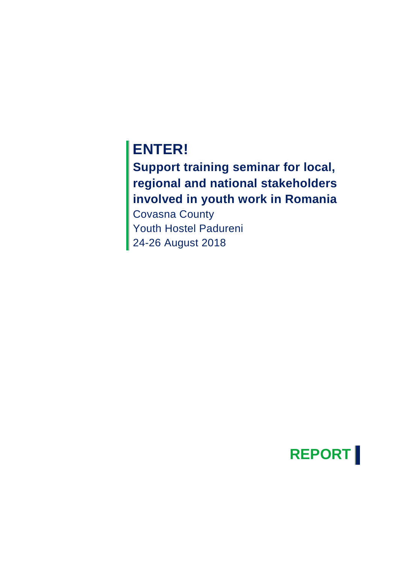# **ENTER!**

**Support training seminar for local, regional and national stakeholders involved in youth work in Romania**

Covasna County Youth Hostel Padureni 24-26 August 2018

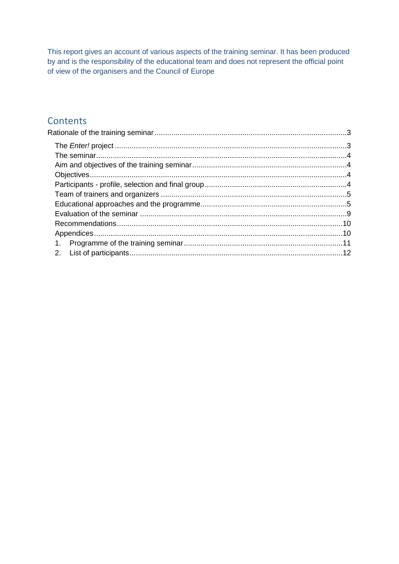This report gives an account of various aspects of the training seminar. It has been produced by and is the responsibility of the educational team and does not represent the official point of view of the organisers and the Council of Europe

#### Contents

<span id="page-1-0"></span>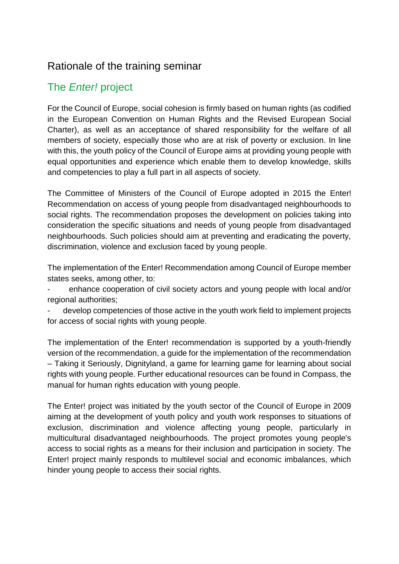#### Rationale of the training seminar

### <span id="page-2-0"></span>The *Enter!* project

For the Council of Europe, social cohesion is firmly based on human rights (as codified in the European Convention on Human Rights and the Revised European Social Charter), as well as an acceptance of shared responsibility for the welfare of all members of society, especially those who are at risk of poverty or exclusion. In line with this, the youth policy of the Council of Europe aims at providing young people with equal opportunities and experience which enable them to develop knowledge, skills and competencies to play a full part in all aspects of society.

The Committee of Ministers of the Council of Europe adopted in 2015 the [Enter!](http://www.coe.int/en/web/enter/the-recommendation)  [Recommendation](http://www.coe.int/en/web/enter/the-recommendation) on access of young people from disadvantaged neighbourhoods to social rights. The recommendation proposes the development on policies taking into consideration the specific situations and needs of young people from disadvantaged neighbourhoods. Such policies should aim at preventing and eradicating the poverty, discrimination, violence and exclusion faced by young people.

The implementation of the Enter! Recommendation among Council of Europe member states seeks, among other, to:

enhance cooperation of civil society actors and young people with local and/or regional authorities;

develop competencies of those active in the youth work field to implement projects for access of social rights with young people.

The implementation of the Enter! recommendation is supported by a [youth-friendly](http://www.coe.int/en/web/enter/the-recommendation)  [version](http://www.coe.int/en/web/enter/the-recommendation) of the recommendation, a guide for the implementation of the recommendation [–](http://rm.coe.int/CoERMPublicCommonSearchServices/DisplayDCTMContent?documentId=09000016806accfa) [Taking it Seriously,](http://rm.coe.int/CoERMPublicCommonSearchServices/DisplayDCTMContent?documentId=09000016806accfa) [Dignityland,](http://www.coe.int/en/web/enter/enter-dignityland-) a game for learning game for learning about social rights with young people. Further educational resources can be found in [Compass,](http://www.coe.int/en/web/compass) the manual for human rights education with young people.

[The Enter! project](https://www.coe.int/en/web/enter?desktop=false) was initiated by the youth sector of the Council of Europe in 2009 aiming at the development of youth policy and youth work responses to situations of exclusion, discrimination and violence affecting young people, particularly in multicultural disadvantaged neighbourhoods. The project promotes young people's access to social rights as a means for their inclusion and participation in society. The Enter! project mainly responds to multilevel social and economic imbalances, which hinder young people to access their social rights.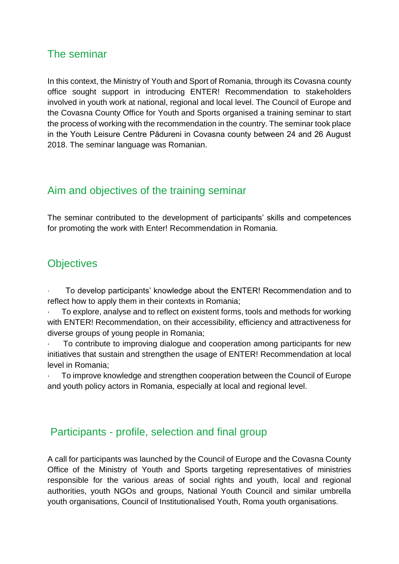#### <span id="page-3-0"></span>The seminar

In this context, the Ministry of Youth and Sport of Romania, through its Covasna county office sought support in introducing ENTER! Recommendation to stakeholders involved in youth work at national, regional and local level. The Council of Europe and the Covasna County Office for Youth and Sports organised a training seminar to start the process of working with the recommendation in the country. The seminar took place in the Youth Leisure Centre Pădureni in Covasna county between 24 and 26 August 2018. The seminar language was Romanian.

### <span id="page-3-1"></span>Aim and objectives of the training seminar

The seminar contributed to the development of participants' skills and competences for promoting the work with Enter! Recommendation in Romania.

#### <span id="page-3-2"></span>**Objectives**

· To develop participants' knowledge about the ENTER! Recommendation and to reflect how to apply them in their contexts in Romania;

· To explore, analyse and to reflect on existent forms, tools and methods for working with ENTER! Recommendation, on their accessibility, efficiency and attractiveness for diverse groups of young people in Romania;

To contribute to improving dialogue and cooperation among participants for new initiatives that sustain and strengthen the usage of ENTER! Recommendation at local level in Romania;

· To improve knowledge and strengthen cooperation between the Council of Europe and youth policy actors in Romania, especially at local and regional level.

#### <span id="page-3-3"></span>Participants - profile, selection and final group

A call for participants was launched by the Council of Europe and the Covasna County Office of the Ministry of Youth and Sports targeting representatives of ministries responsible for the various areas of social rights and youth, local and regional authorities, youth NGOs and groups, National Youth Council and similar umbrella youth organisations, Council of Institutionalised Youth, Roma youth organisations.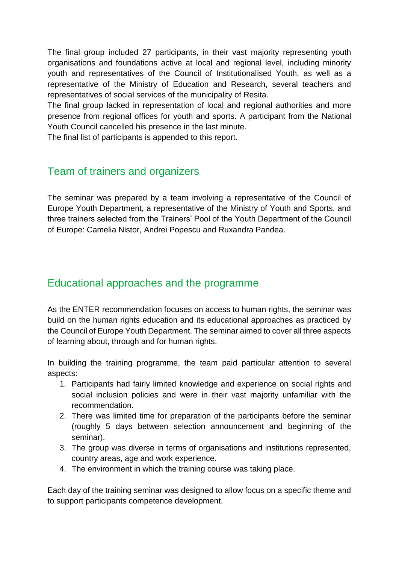The final group included 27 participants, in their vast majority representing youth organisations and foundations active at local and regional level, including minority youth and representatives of the Council of Institutionalised Youth, as well as a representative of the Ministry of Education and Research, several teachers and representatives of social services of the municipality of Resita.

The final group lacked in representation of local and regional authorities and more presence from regional offices for youth and sports. A participant from the National Youth Council cancelled his presence in the last minute.

The final list of participants is appended to this report.

### <span id="page-4-0"></span>Team of trainers and organizers

The seminar was prepared by a team involving a representative of the Council of Europe Youth Department, a representative of the Ministry of Youth and Sports, and three trainers selected from the Trainers' Pool of the Youth Department of the Council of Europe: Camelia Nistor, Andrei Popescu and Ruxandra Pandea.

### <span id="page-4-1"></span>Educational approaches and the programme

As the ENTER recommendation focuses on access to human rights, the seminar was build on the human rights education and its educational approaches as practiced by the Council of Europe Youth Department. The seminar aimed to cover all three aspects of learning about, through and for human rights.

In building the training programme, the team paid particular attention to several aspects:

- 1. Participants had fairly limited knowledge and experience on social rights and social inclusion policies and were in their vast majority unfamiliar with the recommendation.
- 2. There was limited time for preparation of the participants before the seminar (roughly 5 days between selection announcement and beginning of the seminar).
- 3. The group was diverse in terms of organisations and institutions represented, country areas, age and work experience.
- 4. The environment in which the training course was taking place.

Each day of the training seminar was designed to allow focus on a specific theme and to support participants competence development.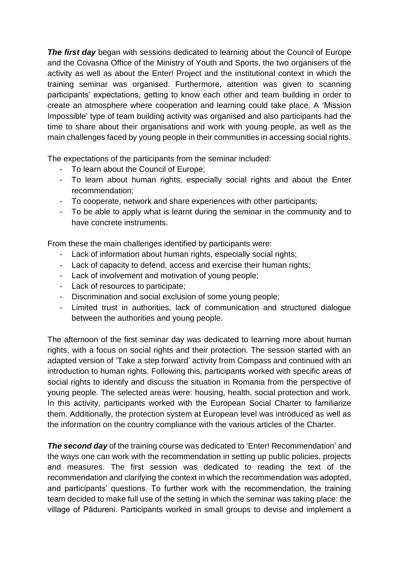*The first day* began with sessions dedicated to learning about the Council of Europe and the Covasna Office of the Ministry of Youth and Sports, the two organisers of the activity as well as about the Enter! Project and the institutional context in which the training seminar was organised. Furthermore, attention was given to scanning participants' expectations, getting to know each other and team building in order to create an atmosphere where cooperation and learning could take place. A 'Mission Impossible' type of team building activity was organised and also participants had the time to share about their organisations and work with young people, as well as the main challenges faced by young people in their communities in accessing social rights.

The expectations of the participants from the seminar included:

- To learn about the Council of Europe;
- To learn about human rights, especially social rights and about the Enter recommendation;
- To cooperate, network and share experiences with other participants;
- To be able to apply what is learnt during the seminar in the community and to have concrete instruments.

From these the main challenges identified by participants were:

- Lack of information about human rights, especially social rights;
- Lack of capacity to defend, access and exercise their human rights;
- Lack of involvement and motivation of young people;
- Lack of resources to participate;
- Discrimination and social exclusion of some young people;
- Limited trust in authorities, lack of communication and structured dialogue between the authorities and young people.

The afternoon of the first seminar day was dedicated to learning more about human rights, with a focus on social rights and their protection. The session started with an adapted version of 'Take a step forward' activity from Compass and continued with an introduction to human rights. Following this, participants worked with specific areas of social rights to identify and discuss the situation in Romania from the perspective of young people. The selected areas were: housing, health, social protection and work. In this activity, participants worked with the European Social Charter to familiarize them. Additionally, the protection system at European level was introduced as well as the information on the country compliance with the various articles of the Charter.

**The second day** of the training course was dedicated to 'Enter! Recommendation' and the ways one can work with the recommendation in setting up public policies, projects and measures. The first session was dedicated to reading the text of the recommendation and clarifying the context in which the recommendation was adopted, and participants' questions. To further work with the recommendation, the training team decided to make full use of the setting in which the seminar was taking place: the village of Pădureni. Participants worked in small groups to devise and implement a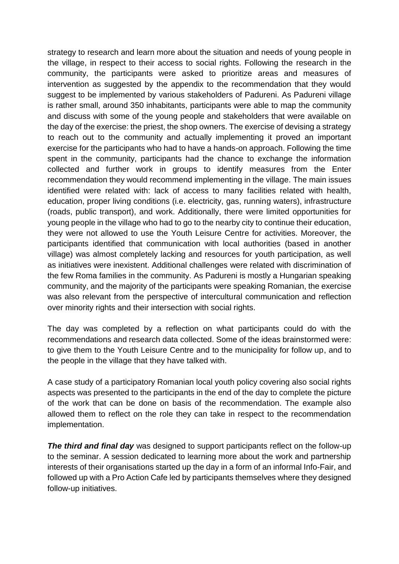strategy to research and learn more about the situation and needs of young people in the village, in respect to their access to social rights. Following the research in the community, the participants were asked to prioritize areas and measures of intervention as suggested by the appendix to the recommendation that they would suggest to be implemented by various stakeholders of Padureni. As Padureni village is rather small, around 350 inhabitants, participants were able to map the community and discuss with some of the young people and stakeholders that were available on the day of the exercise: the priest, the shop owners. The exercise of devising a strategy to reach out to the community and actually implementing it proved an important exercise for the participants who had to have a hands-on approach. Following the time spent in the community, participants had the chance to exchange the information collected and further work in groups to identify measures from the Enter recommendation they would recommend implementing in the village. The main issues identified were related with: lack of access to many facilities related with health, education, proper living conditions (i.e. electricity, gas, running waters), infrastructure (roads, public transport), and work. Additionally, there were limited opportunities for young people in the village who had to go to the nearby city to continue their education, they were not allowed to use the Youth Leisure Centre for activities. Moreover, the participants identified that communication with local authorities (based in another village) was almost completely lacking and resources for youth participation, as well as initiatives were inexistent. Additional challenges were related with discrimination of the few Roma families in the community. As Padureni is mostly a Hungarian speaking community, and the majority of the participants were speaking Romanian, the exercise was also relevant from the perspective of intercultural communication and reflection over minority rights and their intersection with social rights.

The day was completed by a reflection on what participants could do with the recommendations and research data collected. Some of the ideas brainstormed were: to give them to the Youth Leisure Centre and to the municipality for follow up, and to the people in the village that they have talked with.

A case study of a participatory Romanian local youth policy covering also social rights aspects was presented to the participants in the end of the day to complete the picture of the work that can be done on basis of the recommendation. The example also allowed them to reflect on the role they can take in respect to the recommendation implementation.

*The third and final day* was designed to support participants reflect on the follow-up to the seminar. A session dedicated to learning more about the work and partnership interests of their organisations started up the day in a form of an informal Info-Fair, and followed up with a Pro Action Cafe led by participants themselves where they designed follow-up initiatives.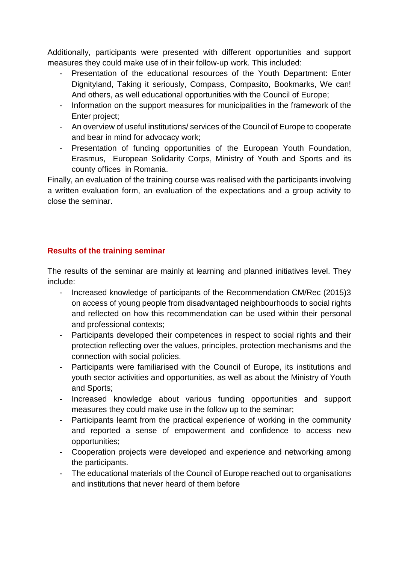Additionally, participants were presented with different opportunities and support measures they could make use of in their follow-up work. This included:

- Presentation of the educational resources of the Youth Department: Enter Dignityland, Taking it seriously, Compass, Compasito, Bookmarks, We can! And others, as well educational opportunities with the Council of Europe;
- Information on the support measures for municipalities in the framework of the Enter project;
- An overview of useful institutions/ services of the Council of Europe to cooperate and bear in mind for advocacy work;
- Presentation of funding opportunities of the European Youth Foundation, Erasmus, European Solidarity Corps, Ministry of Youth and Sports and its county offices in Romania.

Finally, an evaluation of the training course was realised with the participants involving a written evaluation form, an evaluation of the expectations and a group activity to close the seminar.

#### **Results of the training seminar**

The results of the seminar are mainly at learning and planned initiatives level. They include:

- Increased knowledge of participants of the Recommendation CM/Rec (2015)3 on access of young people from disadvantaged neighbourhoods to social rights and reflected on how this recommendation can be used within their personal and professional contexts;
- Participants developed their competences in respect to social rights and their protection reflecting over the values, principles, protection mechanisms and the connection with social policies.
- Participants were familiarised with the Council of Europe, its institutions and youth sector activities and opportunities, as well as about the Ministry of Youth and Sports;
- Increased knowledge about various funding opportunities and support measures they could make use in the follow up to the seminar;
- Participants learnt from the practical experience of working in the community and reported a sense of empowerment and confidence to access new opportunities;
- Cooperation projects were developed and experience and networking among the participants.
- The educational materials of the Council of Europe reached out to organisations and institutions that never heard of them before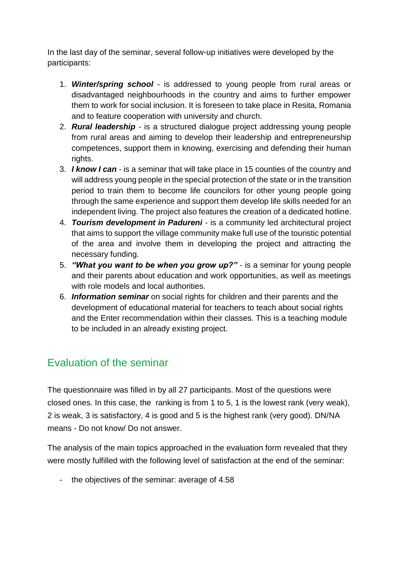In the last day of the seminar, several follow-up initiatives were developed by the participants:

- 1. *Winter/spring school* is addressed to young people from rural areas or disadvantaged neighbourhoods in the country and aims to further empower them to work for social inclusion. It is foreseen to take place in Resita, Romania and to feature cooperation with university and church.
- 2. *Rural leadership* is a structured dialogue project addressing young people from rural areas and aiming to develop their leadership and entrepreneurship competences, support them in knowing, exercising and defending their human rights.
- 3. *I know I can* is a seminar that will take place in 15 counties of the country and will address young people in the special protection of the state or in the transition period to train them to become life councilors for other young people going through the same experience and support them develop life skills needed for an independent living. The project also features the creation of a dedicated hotline.
- 4. *Tourism development in Padureni* is a community led architectural project that aims to support the village community make full use of the touristic potential of the area and involve them in developing the project and attracting the necessary funding.
- 5. *"What you want to be when you grow up?"* is a seminar for young people and their parents about education and work opportunities, as well as meetings with role models and local authorities.
- 6. *Information seminar* on social rights for children and their parents and the development of educational material for teachers to teach about social rights and the Enter recommendation within their classes. This is a teaching module to be included in an already existing project.

#### <span id="page-8-0"></span>Evaluation of the seminar

The questionnaire was filled in by all 27 participants. Most of the questions were closed ones. In this case, the ranking is from 1 to 5, 1 is the lowest rank (very weak), 2 is weak, 3 is satisfactory, 4 is good and 5 is the highest rank (very good). DN/NA means - Do not know/ Do not answer.

The analysis of the main topics approached in the evaluation form revealed that they were mostly fulfilled with the following level of satisfaction at the end of the seminar:

- the objectives of the seminar: average of 4.58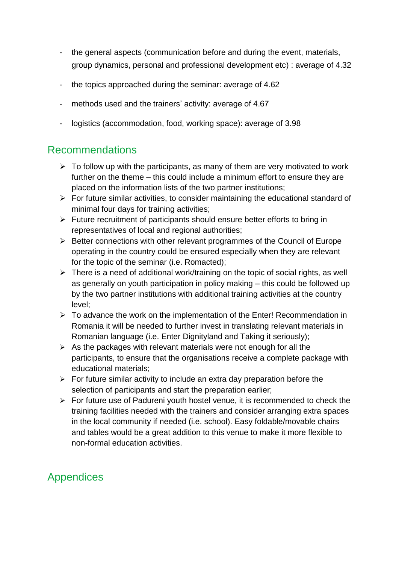- the general aspects (communication before and during the event, materials, group dynamics, personal and professional development etc) : average of 4.32
- the topics approached during the seminar: average of 4.62
- methods used and the trainers' activity: average of 4.67
- logistics (accommodation, food, working space): average of 3.98

#### <span id="page-9-0"></span>Recommendations

- $\triangleright$  To follow up with the participants, as many of them are very motivated to work further on the theme – this could include a minimum effort to ensure they are placed on the information lists of the two partner institutions;
- $\triangleright$  For future similar activities, to consider maintaining the educational standard of minimal four days for training activities;
- ➢ Future recruitment of participants should ensure better efforts to bring in representatives of local and regional authorities;
- ➢ Better connections with other relevant programmes of the Council of Europe operating in the country could be ensured especially when they are relevant for the topic of the seminar (i.e. Romacted);
- ➢ There is a need of additional work/training on the topic of social rights, as well as generally on youth participation in policy making – this could be followed up by the two partner institutions with additional training activities at the country level;
- ➢ To advance the work on the implementation of the Enter! Recommendation in Romania it will be needed to further invest in translating relevant materials in Romanian language (i.e. Enter Dignityland and Taking it seriously);
- $\triangleright$  As the packages with relevant materials were not enough for all the participants, to ensure that the organisations receive a complete package with educational materials;
- $\triangleright$  For future similar activity to include an extra day preparation before the selection of participants and start the preparation earlier;
- ➢ For future use of Padureni youth hostel venue, it is recommended to check the training facilities needed with the trainers and consider arranging extra spaces in the local community if needed (i.e. school). Easy foldable/movable chairs and tables would be a great addition to this venue to make it more flexible to non-formal education activities.

## <span id="page-9-1"></span>Appendices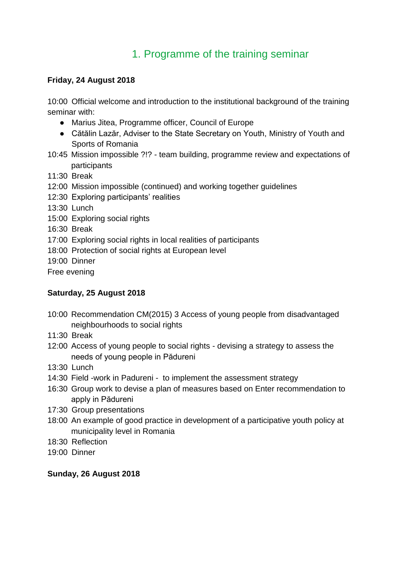### 1. Programme of the training seminar

#### <span id="page-10-0"></span>**Friday, 24 August 2018**

10:00 Official welcome and introduction to the institutional background of the training seminar with:

- Marius Jitea, Programme officer, Council of Europe
- Cătălin Lazăr, Adviser to the State Secretary on Youth, Ministry of Youth and Sports of Romania
- 10:45 Mission impossible ?!? team building, programme review and expectations of participants
- 11:30 Break
- 12:00 Mission impossible (continued) and working together guidelines
- 12:30 Exploring participants' realities
- 13:30 Lunch
- 15:00 Exploring social rights
- 16:30 Break
- 17:00 Exploring social rights in local realities of participants
- 18:00 Protection of social rights at European level
- 19:00 Dinner
- Free evening

#### **Saturday, 25 August 2018**

- 10:00 Recommendation CM(2015) 3 Access of young people from disadvantaged neighbourhoods to social rights
- 11:30 Break
- 12:00 Access of young people to social rights devising a strategy to assess the needs of young people in Pădureni
- 13:30 Lunch
- 14:30 Field -work in Padureni to implement the assessment strategy
- 16:30 Group work to devise a plan of measures based on Enter recommendation to apply in Pădureni
- 17:30 Group presentations
- 18:00 An example of good practice in development of a participative youth policy at municipality level in Romania
- 18:30 Reflection
- 19:00 Dinner

#### **Sunday, 26 August 2018**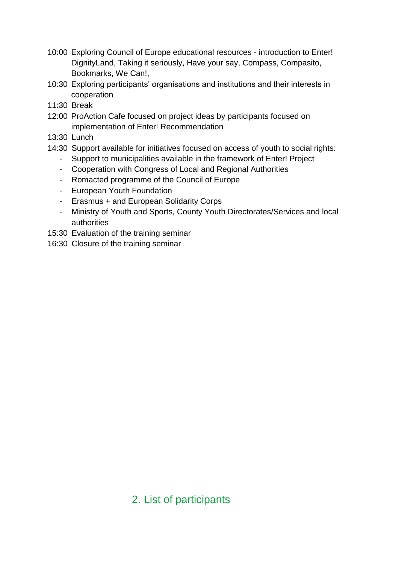- 10:00 Exploring Council of Europe educational resources introduction to Enter! DignityLand, Taking it seriously, Have your say, Compass, Compasito, Bookmarks, We Can!,
- 10:30 Exploring participants' organisations and institutions and their interests in cooperation
- 11:30 Break
- 12:00 ProAction Cafe focused on project ideas by participants focused on implementation of Enter! Recommendation
- 13:30 Lunch
- 14:30 Support available for initiatives focused on access of youth to social rights:
	- Support to municipalities available in the framework of Enter! Project
	- Cooperation with Congress of Local and Regional Authorities
	- Romacted programme of the Council of Europe
	- European Youth Foundation
	- Erasmus + and European Solidarity Corps
	- Ministry of Youth and Sports, County Youth Directorates/Services and local authorities
- 15:30 Evaluation of the training seminar
- 16:30 Closure of the training seminar

## <span id="page-11-0"></span>2. List of participants